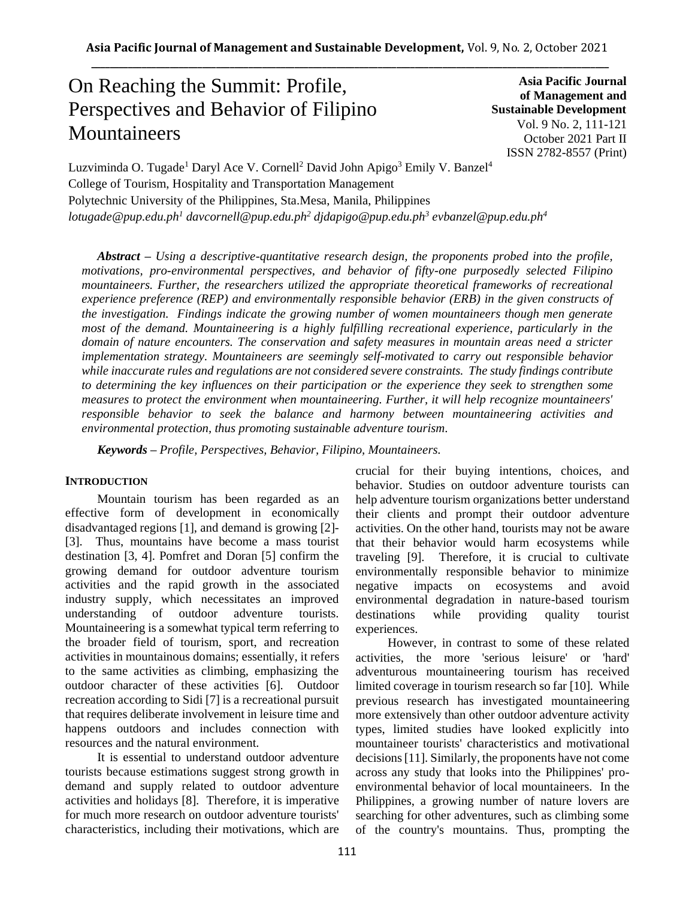# On Reaching the Summit: Profile, Perspectives and Behavior of Filipino **Mountaineers**

**Asia Pacific Journal of Management and Sustainable Development**  Vol. 9 No. 2, 111-121 October 2021 Part II ISSN 2782-8557 (Print)

Luzviminda O. Tugade<sup>1</sup> Daryl Ace V. Cornell<sup>2</sup> David John Apigo<sup>3</sup> Emily V. Banzel<sup>4</sup> College of Tourism, Hospitality and Transportation Management Polytechnic University of the Philippines, Sta.Mesa, Manila, Philippines *lotugade@pup.edu.ph<sup>1</sup> davcornell@pup.edu.ph<sup>2</sup> djdapigo@pup.edu.ph<sup>3</sup> evbanzel@pup.edu.ph<sup>4</sup>*

*Abstract – Using a descriptive-quantitative research design, the proponents probed into the profile, motivations, pro-environmental perspectives, and behavior of fifty-one purposedly selected Filipino mountaineers. Further, the researchers utilized the appropriate theoretical frameworks of recreational experience preference (REP) and environmentally responsible behavior (ERB) in the given constructs of the investigation. Findings indicate the growing number of women mountaineers though men generate most of the demand. Mountaineering is a highly fulfilling recreational experience, particularly in the domain of nature encounters. The conservation and safety measures in mountain areas need a stricter implementation strategy. Mountaineers are seemingly self-motivated to carry out responsible behavior while inaccurate rules and regulations are not considered severe constraints. The study findings contribute to determining the key influences on their participation or the experience they seek to strengthen some measures to protect the environment when mountaineering. Further, it will help recognize mountaineers' responsible behavior to seek the balance and harmony between mountaineering activities and environmental protection, thus promoting sustainable adventure tourism.*

*Keywords – Profile, Perspectives, Behavior, Filipino, Mountaineers.* 

#### **INTRODUCTION**

Mountain tourism has been regarded as an effective form of development in economically disadvantaged regions [1], and demand is growing [2]- [3]. Thus, mountains have become a mass tourist destination [3, 4]. Pomfret and Doran [5] confirm the growing demand for outdoor adventure tourism activities and the rapid growth in the associated industry supply, which necessitates an improved understanding of outdoor adventure tourists. Mountaineering is a somewhat typical term referring to the broader field of tourism, sport, and recreation activities in mountainous domains; essentially, it refers to the same activities as climbing, emphasizing the outdoor character of these activities [6]. Outdoor recreation according to Sidi [7] is a recreational pursuit that requires deliberate involvement in leisure time and happens outdoors and includes connection with resources and the natural environment.

It is essential to understand outdoor adventure tourists because estimations suggest strong growth in demand and supply related to outdoor adventure activities and holidays [8]. Therefore, it is imperative for much more research on outdoor adventure tourists' characteristics, including their motivations, which are crucial for their buying intentions, choices, and behavior. Studies on outdoor adventure tourists can help adventure tourism organizations better understand their clients and prompt their outdoor adventure activities. On the other hand, tourists may not be aware that their behavior would harm ecosystems while traveling [9]. Therefore, it is crucial to cultivate environmentally responsible behavior to minimize negative impacts on ecosystems and avoid environmental degradation in nature-based tourism destinations while providing quality tourist experiences.

However, in contrast to some of these related activities, the more 'serious leisure' or 'hard' adventurous mountaineering tourism has received limited coverage in tourism research so far [10]. While previous research has investigated mountaineering more extensively than other outdoor adventure activity types, limited studies have looked explicitly into mountaineer tourists' characteristics and motivational decisions [11]. Similarly, the proponents have not come across any study that looks into the Philippines' proenvironmental behavior of local mountaineers. In the Philippines, a growing number of nature lovers are searching for other adventures, such as climbing some of the country's mountains. Thus, prompting the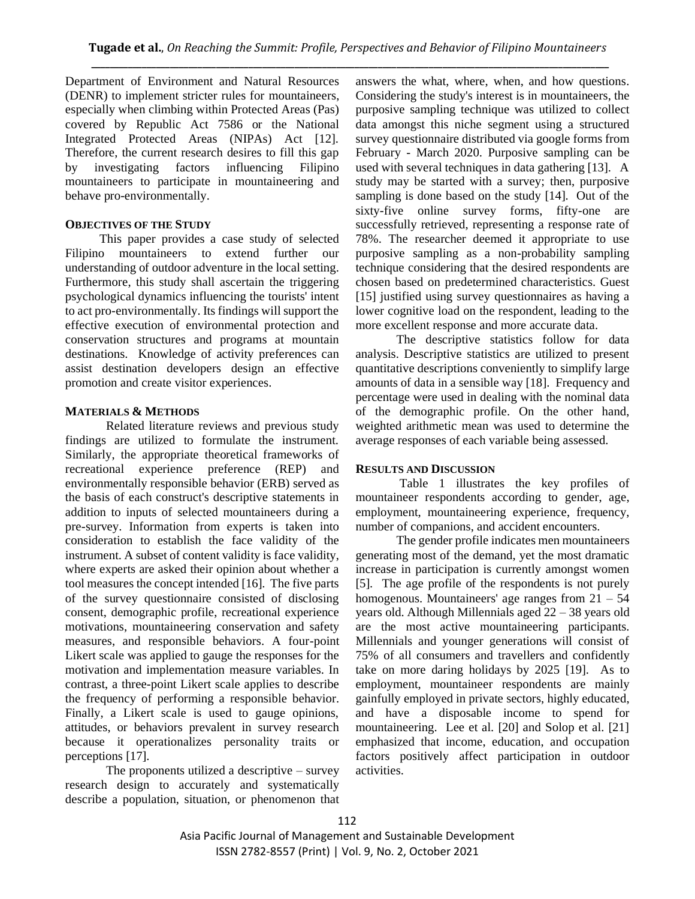Department of Environment and Natural Resources (DENR) to implement stricter rules for mountaineers, especially when climbing within Protected Areas (Pas) covered by Republic Act 7586 or the National Integrated Protected Areas (NIPAs) Act [12]. Therefore, the current research desires to fill this gap by investigating factors influencing Filipino mountaineers to participate in mountaineering and behave pro-environmentally.

### **OBJECTIVES OF THE STUDY**

 This paper provides a case study of selected Filipino mountaineers to extend further our understanding of outdoor adventure in the local setting. Furthermore, this study shall ascertain the triggering psychological dynamics influencing the tourists' intent to act pro-environmentally. Its findings will support the effective execution of environmental protection and conservation structures and programs at mountain destinations. Knowledge of activity preferences can assist destination developers design an effective promotion and create visitor experiences.

# **MATERIALS & METHODS**

Related literature reviews and previous study findings are utilized to formulate the instrument. Similarly, the appropriate theoretical frameworks of recreational experience preference (REP) and environmentally responsible behavior (ERB) served as the basis of each construct's descriptive statements in addition to inputs of selected mountaineers during a pre-survey. Information from experts is taken into consideration to establish the face validity of the instrument. A subset of content validity is face validity, where experts are asked their opinion about whether a tool measures the concept intended [16]. The five parts of the survey questionnaire consisted of disclosing consent, demographic profile, recreational experience motivations, mountaineering conservation and safety measures, and responsible behaviors. A four-point Likert scale was applied to gauge the responses for the motivation and implementation measure variables. In contrast, a three-point Likert scale applies to describe the frequency of performing a responsible behavior. Finally, a Likert scale is used to gauge opinions, attitudes, or behaviors prevalent in survey research because it operationalizes personality traits or perceptions [17].

The proponents utilized a descriptive – survey research design to accurately and systematically describe a population, situation, or phenomenon that answers the what, where, when, and how questions. Considering the study's interest is in mountaineers, the purposive sampling technique was utilized to collect data amongst this niche segment using a structured survey questionnaire distributed via google forms from February - March 2020. Purposive sampling can be used with several techniques in data gathering [13]. A study may be started with a survey; then, purposive sampling is done based on the study [14]. Out of the sixty-five online survey forms, fifty-one are successfully retrieved, representing a response rate of 78%. The researcher deemed it appropriate to use purposive sampling as a non-probability sampling technique considering that the desired respondents are chosen based on predetermined characteristics. Guest [15] justified using survey questionnaires as having a lower cognitive load on the respondent, leading to the more excellent response and more accurate data.

The descriptive statistics follow for data analysis. Descriptive statistics are utilized to present quantitative descriptions conveniently to simplify large amounts of data in a sensible way [18]. Frequency and percentage were used in dealing with the nominal data of the demographic profile. On the other hand, weighted arithmetic mean was used to determine the average responses of each variable being assessed.

# **RESULTS AND DISCUSSION**

Table 1 illustrates the key profiles of mountaineer respondents according to gender, age, employment, mountaineering experience, frequency, number of companions, and accident encounters.

The gender profile indicates men mountaineers generating most of the demand, yet the most dramatic increase in participation is currently amongst women [5]. The age profile of the respondents is not purely homogenous. Mountaineers' age ranges from  $21 - 54$ years old. Although Millennials aged 22 – 38 years old are the most active mountaineering participants. Millennials and younger generations will consist of 75% of all consumers and travellers and confidently take on more daring holidays by 2025 [19]. As to employment, mountaineer respondents are mainly gainfully employed in private sectors, highly educated, and have a disposable income to spend for mountaineering. Lee et al. [20] and Solop et al. [21] emphasized that income, education, and occupation factors positively affect participation in outdoor activities.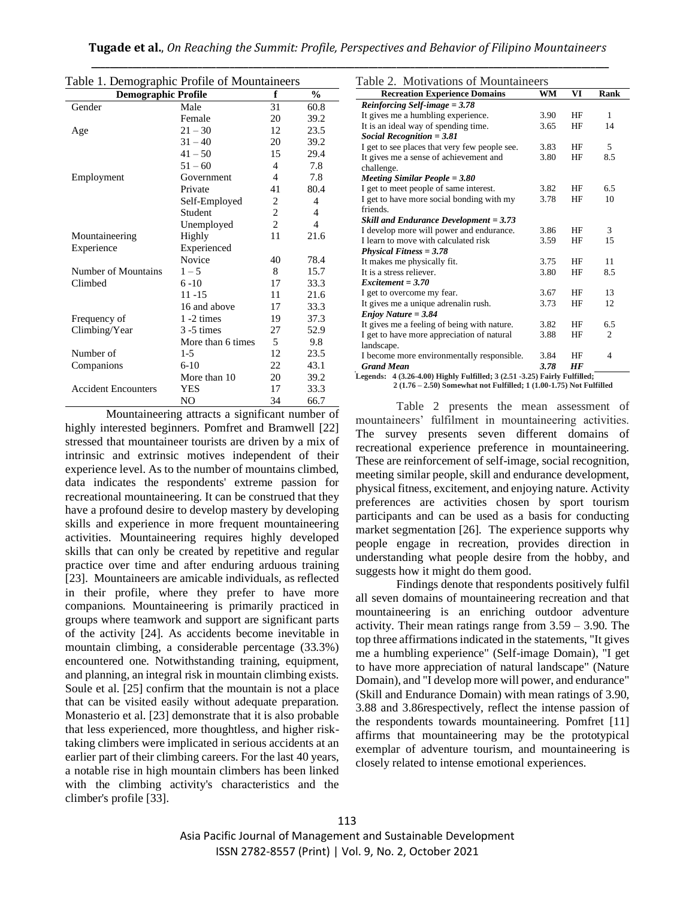| <b>Demographic Profile</b> |                   | f              | $\frac{0}{0}$ |
|----------------------------|-------------------|----------------|---------------|
| Gender                     | Male              | 31             | 60.8          |
|                            | Female            | 20             | 39.2          |
| Age                        | $21 - 30$         | 12             | 23.5          |
|                            | $31 - 40$         | 20             | 39.2          |
|                            | $41 - 50$         | 15             | 29.4          |
|                            | $51 - 60$         | $\overline{4}$ | 7.8           |
| Employment                 | Government        | $\overline{4}$ | 7.8           |
|                            | Private           | 41             | 80.4          |
|                            | Self-Employed     | 2              | 4             |
|                            | Student           | $\overline{c}$ | 4             |
|                            | Unemployed        | $\overline{2}$ | 4             |
| Mountaineering             | Highly            | 11             | 21.6          |
| Experience                 | Experienced       |                |               |
|                            | Novice            | 40             | 78.4          |
| Number of Mountains        | $1 - 5$           | 8              | 15.7          |
| Climbed                    | $6 - 10$          | 17             | 33.3          |
|                            | 11 -15            | 11             | 21.6          |
|                            | 16 and above      | 17             | 33.3          |
| Frequency of               | $1 - 2$ times     | 19             | 37.3          |
| Climbing/Year              | $3 - 5$ times     | 27             | 52.9          |
|                            | More than 6 times | 5              | 9.8           |
| Number of                  | $1 - 5$           | 12             | 23.5          |
| Companions                 | $6-10$            | 22             | 43.1          |
|                            | More than 10      | 20             | 39.2          |
| <b>Accident Encounters</b> | YES               | 17             | 33.3          |
|                            | NO                | 34             | 66.7          |

Table 1. Demographic Profile of Mountaineers

Mountaineering attracts a significant number of highly interested beginners. Pomfret and Bramwell [22] stressed that mountaineer tourists are driven by a mix of intrinsic and extrinsic motives independent of their experience level. As to the number of mountains climbed, data indicates the respondents' extreme passion for recreational mountaineering. It can be construed that they have a profound desire to develop mastery by developing skills and experience in more frequent mountaineering activities. Mountaineering requires highly developed skills that can only be created by repetitive and regular practice over time and after enduring arduous training [23]. Mountaineers are amicable individuals, as reflected in their profile, where they prefer to have more companions. Mountaineering is primarily practiced in groups where teamwork and support are significant parts of the activity [24]. As accidents become inevitable in mountain climbing, a considerable percentage (33.3%) encountered one. Notwithstanding training, equipment, and planning, an integral risk in mountain climbing exists. Soule et al. [25] confirm that the mountain is not a place that can be visited easily without adequate preparation. Monasterio et al. [23] demonstrate that it is also probable that less experienced, more thoughtless, and higher risktaking climbers were implicated in serious accidents at an earlier part of their climbing careers. For the last 40 years, a notable rise in high mountain climbers has been linked with the climbing activity's characteristics and the climber's profile [33].

| Table 2. Motivations of Mountaineers                                      |      |    |      |
|---------------------------------------------------------------------------|------|----|------|
| <b>Recreation Experience Domains</b>                                      | WM   | VI | Rank |
| Reinforcing Self-image $= 3.78$                                           |      |    |      |
| It gives me a humbling experience.                                        | 3.90 | HF | 1    |
| It is an ideal way of spending time.                                      | 3.65 | HF | 14   |
| Social Recognition $= 3.81$                                               |      |    |      |
| I get to see places that very few people see.                             | 3.83 | HF | 5    |
| It gives me a sense of achievement and                                    | 3.80 | HF | 8.5  |
| challenge.                                                                |      |    |      |
| Meeting Similar People $= 3.80$                                           |      |    |      |
| I get to meet people of same interest.                                    | 3.82 | HF | 6.5  |
| I get to have more social bonding with my                                 | 3.78 | HF | 10   |
| friends.                                                                  |      |    |      |
| <b>Skill and Endurance Development = 3.73</b>                             |      |    |      |
| I develop more will power and endurance.                                  | 3.86 | HF | 3    |
| I learn to move with calculated risk                                      | 3.59 | HF | 15   |
| $Physical \, Fitness = 3.78$                                              |      |    |      |
| It makes me physically fit.                                               | 3.75 | HF | 11   |
| It is a stress reliever.                                                  | 3.80 | HF | 8.5  |
| $Excitement = 3.70$                                                       |      |    |      |
| I get to overcome my fear.                                                | 3.67 | HF | 13   |
| It gives me a unique adrenalin rush.                                      | 3.73 | HF | 12   |
| $Enjoy Nature = 3.84$                                                     |      |    |      |
| It gives me a feeling of being with nature.                               | 3.82 | HF | 6.5  |
| I get to have more appreciation of natural                                | 3.88 | HF | 2    |
| landscape.                                                                |      |    |      |
| I become more environmentally responsible.                                | 3.84 | HF | 4    |
| <b>Grand Mean</b>                                                         | 3.78 | HF |      |
| Legends: 4 (3.26-4.00) Highly Fulfilled; 3 (2.51 -3.25) Fairly Fulfilled; |      |    |      |
| 2 (1.76 – 2.50) Somewhat not Fulfilled; 1 (1.00-1.75) Not Fulfilled       |      |    |      |

Table 2 presents the mean assessment of mountaineers' fulfilment in mountaineering activities. The survey presents seven different domains of recreational experience preference in mountaineering. These are reinforcement of self-image, social recognition, meeting similar people, skill and endurance development, physical fitness, excitement, and enjoying nature. Activity preferences are activities chosen by sport tourism participants and can be used as a basis for conducting market segmentation [26]. The experience supports why people engage in recreation, provides direction in understanding what people desire from the hobby, and suggests how it might do them good.

Findings denote that respondents positively fulfil all seven domains of mountaineering recreation and that mountaineering is an enriching outdoor adventure activity. Their mean ratings range from 3.59 – 3.90. The top three affirmations indicated in the statements, "It gives me a humbling experience" (Self-image Domain), "I get to have more appreciation of natural landscape" (Nature Domain), and "I develop more will power, and endurance" (Skill and Endurance Domain) with mean ratings of 3.90, 3.88 and 3.86respectively, reflect the intense passion of the respondents towards mountaineering. Pomfret [11] affirms that mountaineering may be the prototypical exemplar of adventure tourism, and mountaineering is closely related to intense emotional experiences.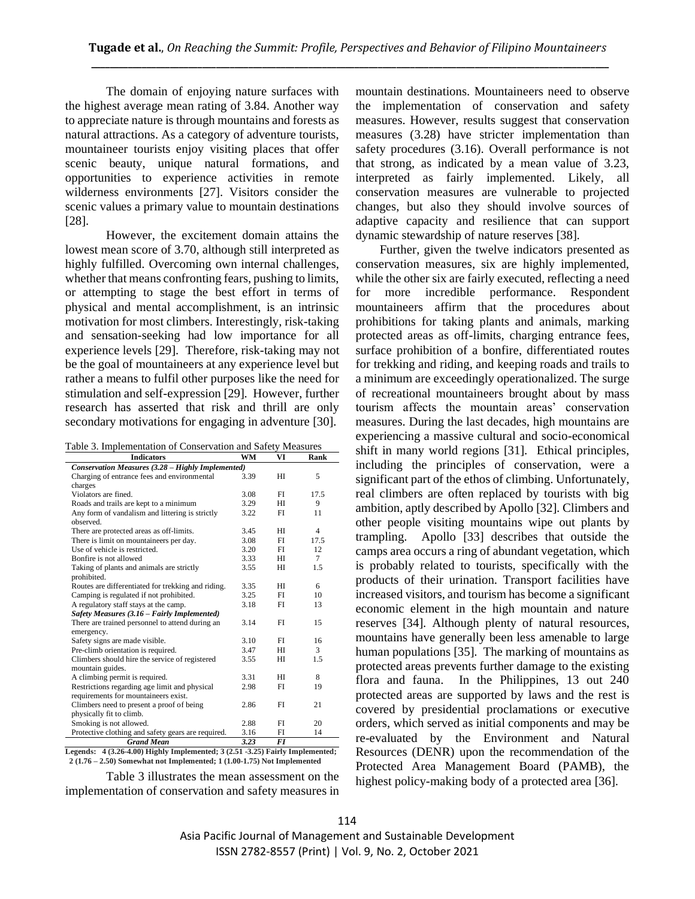The domain of enjoying nature surfaces with the highest average mean rating of 3.84. Another way to appreciate nature is through mountains and forests as natural attractions. As a category of adventure tourists, mountaineer tourists enjoy visiting places that offer scenic beauty, unique natural formations, and opportunities to experience activities in remote wilderness environments [27]. Visitors consider the scenic values a primary value to mountain destinations [28].

However, the excitement domain attains the lowest mean score of 3.70, although still interpreted as highly fulfilled. Overcoming own internal challenges, whether that means confronting fears, pushing to limits, or attempting to stage the best effort in terms of physical and mental accomplishment, is an intrinsic motivation for most climbers. Interestingly, risk-taking and sensation-seeking had low importance for all experience levels [29]. Therefore, risk-taking may not be the goal of mountaineers at any experience level but rather a means to fulfil other purposes like the need for stimulation and self-expression [29]. However, further research has asserted that risk and thrill are only secondary motivations for engaging in adventure [30].

Table 3. Implementation of Conservation and Safety Measures

| <b>Indicators</b>                                  | WM   | VI             | Rank           |
|----------------------------------------------------|------|----------------|----------------|
| Conservation Measures (3.28 - Highly Implemented)  |      |                |                |
| Charging of entrance fees and environmental        | 3.39 | H <sub>I</sub> | 5              |
| charges                                            |      |                |                |
| Violators are fined.                               | 3.08 | FI             | 17.5           |
| Roads and trails are kept to a minimum             | 3.29 | HI             | 9              |
| Any form of vandalism and littering is strictly    | 3.22 | FI             | 11             |
| observed.                                          |      |                |                |
| There are protected areas as off-limits.           | 3.45 | HI             | $\overline{4}$ |
| There is limit on mountaineers per day.            | 3.08 | FI             | 17.5           |
| Use of vehicle is restricted.                      | 3.20 | FI             | 12             |
| Bonfire is not allowed                             | 3.33 | HІ             | $\tau$         |
| Taking of plants and animals are strictly          | 3.55 | HI             | 1.5            |
| prohibited.                                        |      |                |                |
| Routes are differentiated for trekking and riding. | 3.35 | HI             | 6              |
| Camping is regulated if not prohibited.            | 3.25 | FI             | 10             |
| A regulatory staff stays at the camp.              | 3.18 | FI             | 13             |
| Safety Measures (3.16 – Fairly Implemented)        |      |                |                |
| There are trained personnel to attend during an    | 3.14 | FI             | 15             |
| emergency.                                         |      |                |                |
| Safety signs are made visible.                     | 3.10 | FI             | 16             |
| Pre-climb orientation is required.                 | 3.47 | HI             | 3              |
| Climbers should hire the service of registered     | 3.55 | HI             | 1.5            |
| mountain guides.                                   |      |                |                |
| A climbing permit is required.                     | 3.31 | HI             | 8              |
| Restrictions regarding age limit and physical      | 2.98 | FI             | 19             |
| requirements for mountaineers exist.               |      |                |                |
| Climbers need to present a proof of being          | 2.86 | FI             | 21             |
| physically fit to climb.                           |      |                |                |
| Smoking is not allowed.                            | 2.88 | FI             | 20             |
| Protective clothing and safety gears are required. | 3.16 | FI             | 14             |
| <b>Grand Mean</b>                                  | 3.23 | <b>FI</b>      |                |

**Legends: 4 (3.26-4.00) Highly Implemented; 3 (2.51 -3.25) Fairly Implemented; 2 (1.76 – 2.50) Somewhat not Implemented; 1 (1.00-1.75) Not Implemented**

Table 3 illustrates the mean assessment on the implementation of conservation and safety measures in mountain destinations. Mountaineers need to observe the implementation of conservation and safety measures. However, results suggest that conservation measures (3.28) have stricter implementation than safety procedures (3.16). Overall performance is not that strong, as indicated by a mean value of 3.23, interpreted as fairly implemented. Likely, all conservation measures are vulnerable to projected changes, but also they should involve sources of adaptive capacity and resilience that can support dynamic stewardship of nature reserves [38].

Further, given the twelve indicators presented as conservation measures, six are highly implemented, while the other six are fairly executed, reflecting a need for more incredible performance. Respondent mountaineers affirm that the procedures about prohibitions for taking plants and animals, marking protected areas as off-limits, charging entrance fees, surface prohibition of a bonfire, differentiated routes for trekking and riding, and keeping roads and trails to a minimum are exceedingly operationalized. The surge of recreational mountaineers brought about by mass tourism affects the mountain areas' conservation measures. During the last decades, high mountains are experiencing a massive cultural and socio-economical shift in many world regions [31]. Ethical principles, including the principles of conservation, were a significant part of the ethos of climbing. Unfortunately, real climbers are often replaced by tourists with big ambition, aptly described by Apollo [32]. Climbers and other people visiting mountains wipe out plants by trampling. Apollo [33] describes that outside the camps area occurs a ring of abundant vegetation, which is probably related to tourists, specifically with the products of their urination. Transport facilities have increased visitors, and tourism has become a significant economic element in the high mountain and nature reserves [34]. Although plenty of natural resources, mountains have generally been less amenable to large human populations [35]. The marking of mountains as protected areas prevents further damage to the existing flora and fauna. In the Philippines, 13 out 240 protected areas are supported by laws and the rest is covered by presidential proclamations or executive orders, which served as initial components and may be re-evaluated by the Environment and Natural Resources (DENR) upon the recommendation of the Protected Area Management Board (PAMB), the highest policy-making body of a protected area [36].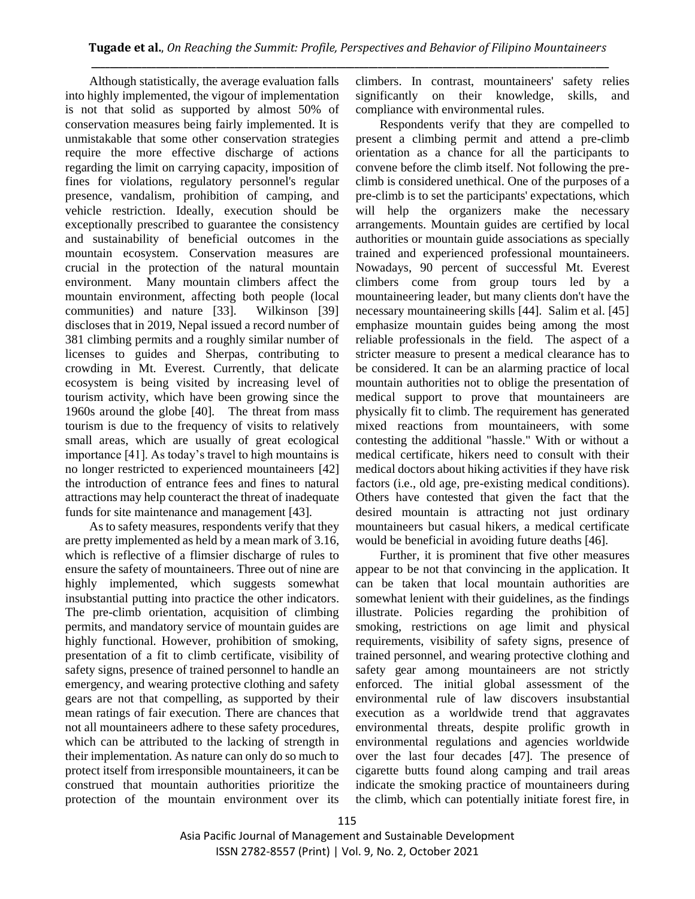Although statistically, the average evaluation falls into highly implemented, the vigour of implementation is not that solid as supported by almost 50% of conservation measures being fairly implemented. It is unmistakable that some other conservation strategies require the more effective discharge of actions regarding the limit on carrying capacity, imposition of fines for violations, regulatory personnel's regular presence, vandalism, prohibition of camping, and vehicle restriction. Ideally, execution should be exceptionally prescribed to guarantee the consistency and sustainability of beneficial outcomes in the mountain ecosystem. Conservation measures are crucial in the protection of the natural mountain environment. Many mountain climbers affect the mountain environment, affecting both people (local communities) and nature [33]. Wilkinson [39] discloses that in 2019, Nepal issued a record number of 381 climbing permits and a roughly similar number of licenses to guides and Sherpas, contributing to crowding in Mt. Everest. Currently, that delicate ecosystem is being visited by increasing level of tourism activity, which have been growing since the 1960s around the globe [40]. The threat from mass tourism is due to the frequency of visits to relatively small areas, which are usually of great ecological importance [41]. As today's travel to high mountains is no longer restricted to experienced mountaineers [42] the introduction of entrance fees and fines to natural attractions may help counteract the threat of inadequate funds for site maintenance and management [43].

As to safety measures, respondents verify that they are pretty implemented as held by a mean mark of 3.16, which is reflective of a flimsier discharge of rules to ensure the safety of mountaineers. Three out of nine are highly implemented, which suggests somewhat insubstantial putting into practice the other indicators. The pre-climb orientation, acquisition of climbing permits, and mandatory service of mountain guides are highly functional. However, prohibition of smoking, presentation of a fit to climb certificate, visibility of safety signs, presence of trained personnel to handle an emergency, and wearing protective clothing and safety gears are not that compelling, as supported by their mean ratings of fair execution. There are chances that not all mountaineers adhere to these safety procedures, which can be attributed to the lacking of strength in their implementation. As nature can only do so much to protect itself from irresponsible mountaineers, it can be construed that mountain authorities prioritize the protection of the mountain environment over its climbers. In contrast, mountaineers' safety relies significantly on their knowledge, skills, and compliance with environmental rules.

Respondents verify that they are compelled to present a climbing permit and attend a pre-climb orientation as a chance for all the participants to convene before the climb itself. Not following the preclimb is considered unethical. One of the purposes of a pre-climb is to set the participants' expectations, which will help the organizers make the necessary arrangements. Mountain guides are certified by local authorities or mountain guide associations as specially trained and experienced professional mountaineers. Nowadays, 90 percent of successful Mt. Everest climbers come from group tours led by a mountaineering leader, but many clients don't have the necessary mountaineering skills [44]. Salim et al. [45] emphasize mountain guides being among the most reliable professionals in the field. The aspect of a stricter measure to present a medical clearance has to be considered. It can be an alarming practice of local mountain authorities not to oblige the presentation of medical support to prove that mountaineers are physically fit to climb. The requirement has generated mixed reactions from mountaineers, with some contesting the additional "hassle." With or without a medical certificate, hikers need to consult with their medical doctors about hiking activities if they have risk factors (i.e., old age, pre-existing medical conditions). Others have contested that given the fact that the desired mountain is attracting not just ordinary mountaineers but casual hikers, a medical certificate would be beneficial in avoiding future deaths [46].

Further, it is prominent that five other measures appear to be not that convincing in the application. It can be taken that local mountain authorities are somewhat lenient with their guidelines, as the findings illustrate. Policies regarding the prohibition of smoking, restrictions on age limit and physical requirements, visibility of safety signs, presence of trained personnel, and wearing protective clothing and safety gear among mountaineers are not strictly enforced. The initial global assessment of the environmental rule of law discovers insubstantial execution as a worldwide trend that aggravates environmental threats, despite prolific growth in environmental regulations and agencies worldwide over the last four decades [47]. The presence of cigarette butts found along camping and trail areas indicate the smoking practice of mountaineers during the climb, which can potentially initiate forest fire, in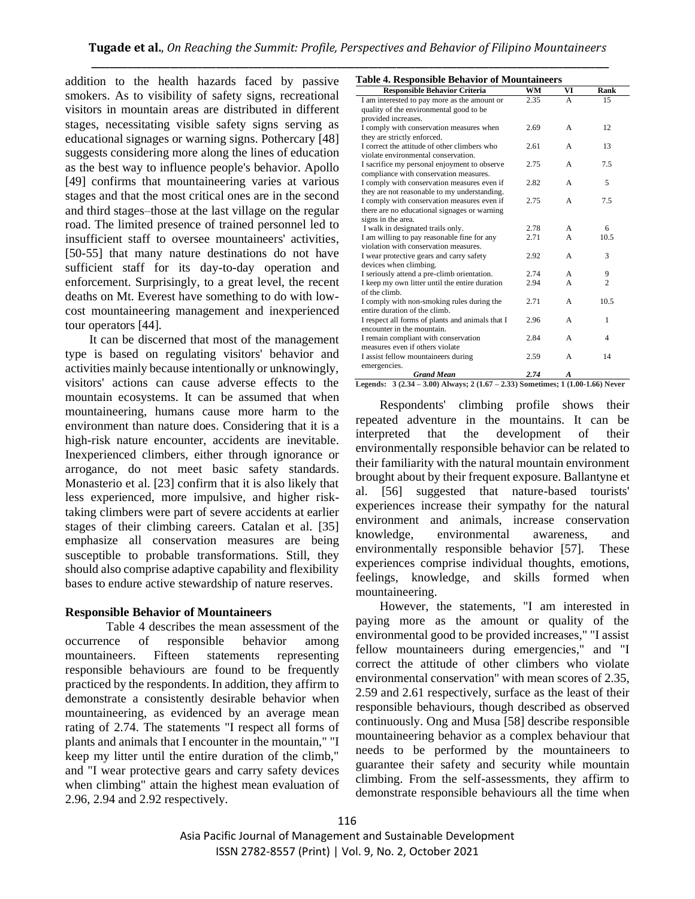addition to the health hazards faced by passive smokers. As to visibility of safety signs, recreational visitors in mountain areas are distributed in different stages, necessitating visible safety signs serving as educational signages or warning signs. Pothercary [48] suggests considering more along the lines of education as the best way to influence people's behavior. Apollo [49] confirms that mountaineering varies at various stages and that the most critical ones are in the second and third stages–those at the last village on the regular road. The limited presence of trained personnel led to insufficient staff to oversee mountaineers' activities, [50-55] that many nature destinations do not have sufficient staff for its day-to-day operation and enforcement. Surprisingly, to a great level, the recent deaths on Mt. Everest have something to do with lowcost mountaineering management and inexperienced tour operators [44].

It can be discerned that most of the management type is based on regulating visitors' behavior and activities mainly because intentionally or unknowingly, visitors' actions can cause adverse effects to the mountain ecosystems. It can be assumed that when mountaineering, humans cause more harm to the environment than nature does. Considering that it is a high-risk nature encounter, accidents are inevitable. Inexperienced climbers, either through ignorance or arrogance, do not meet basic safety standards. Monasterio et al. [23] confirm that it is also likely that less experienced, more impulsive, and higher risktaking climbers were part of severe accidents at earlier stages of their climbing careers. Catalan et al. [35] emphasize all conservation measures are being susceptible to probable transformations. Still, they should also comprise adaptive capability and flexibility bases to endure active stewardship of nature reserves.

#### **Responsible Behavior of Mountaineers**

Table 4 describes the mean assessment of the occurrence of responsible behavior among mountaineers. Fifteen statements representing responsible behaviours are found to be frequently practiced by the respondents. In addition, they affirm to demonstrate a consistently desirable behavior when mountaineering, as evidenced by an average mean rating of 2.74. The statements "I respect all forms of plants and animals that I encounter in the mountain," "I keep my litter until the entire duration of the climb," and "I wear protective gears and carry safety devices when climbing" attain the highest mean evaluation of 2.96, 2.94 and 2.92 respectively.

| <b>Table 4. Responsible Behavior of Mountaineers</b> |  |
|------------------------------------------------------|--|
|------------------------------------------------------|--|

| <b>Responsible Behavior Criteria</b>             | <b>WM</b> | VI               | Rank           |
|--------------------------------------------------|-----------|------------------|----------------|
| I am interested to pay more as the amount or     | 2.35      | A                | 15             |
| quality of the environmental good to be          |           |                  |                |
| provided increases.                              |           |                  |                |
| I comply with conservation measures when         | 2.69      | $\overline{A}$   | 12             |
| they are strictly enforced.                      |           |                  |                |
| I correct the attitude of other climbers who     | 2.61      | A                | 13             |
| violate environmental conservation.              |           |                  |                |
| I sacrifice my personal enjoyment to observe     | 2.75      | A                | 7.5            |
| compliance with conservation measures.           |           |                  |                |
| I comply with conservation measures even if      | 2.82      | $\mathsf{A}$     | 5              |
| they are not reasonable to my understanding.     |           |                  |                |
| I comply with conservation measures even if      | 2.75      | $\overline{A}$   | 7.5            |
| there are no educational signages or warning     |           |                  |                |
| signs in the area.                               |           |                  |                |
| I walk in designated trails only.                | 2.78      | $\mathbf{A}$     | 6              |
| I am willing to pay reasonable fine for any      | 2.71      | A                | 10.5           |
| violation with conservation measures.            |           |                  |                |
| I wear protective gears and carry safety         | 2.92      | A                | 3              |
| devices when climbing.                           |           |                  |                |
| I seriously attend a pre-climb orientation.      | 2.74      | A                | 9              |
| I keep my own litter until the entire duration   | 2.94      | $\mathsf{A}$     | $\overline{c}$ |
| of the climb.                                    |           |                  |                |
| I comply with non-smoking rules during the       | 2.71      | $\overline{A}$   | 10.5           |
| entire duration of the climb.                    |           |                  |                |
| I respect all forms of plants and animals that I | 2.96      | A                | 1              |
| encounter in the mountain.                       |           |                  |                |
| I remain compliant with conservation             | 2.84      | $\mathsf{A}$     | $\overline{4}$ |
| measures even if others violate                  |           |                  |                |
| I assist fellow mountaineers during              | 2.59      | A                | 14             |
| emergencies.                                     |           |                  |                |
| <b>Grand Mean</b>                                | 2.74      | $\boldsymbol{A}$ |                |

Respondents' climbing profile shows their repeated adventure in the mountains. It can be interpreted that the development of their environmentally responsible behavior can be related to their familiarity with the natural mountain environment brought about by their frequent exposure. Ballantyne et al. [56] suggested that nature-based tourists' experiences increase their sympathy for the natural environment and animals, increase conservation knowledge, environmental awareness, and environmentally responsible behavior [57]. These experiences comprise individual thoughts, emotions, feelings, knowledge, and skills formed when mountaineering.

However, the statements, "I am interested in paying more as the amount or quality of the environmental good to be provided increases," "I assist fellow mountaineers during emergencies," and "I correct the attitude of other climbers who violate environmental conservation" with mean scores of 2.35, 2.59 and 2.61 respectively, surface as the least of their responsible behaviours, though described as observed continuously. Ong and Musa [58] describe responsible mountaineering behavior as a complex behaviour that needs to be performed by the mountaineers to guarantee their safety and security while mountain climbing. From the self-assessments, they affirm to demonstrate responsible behaviours all the time when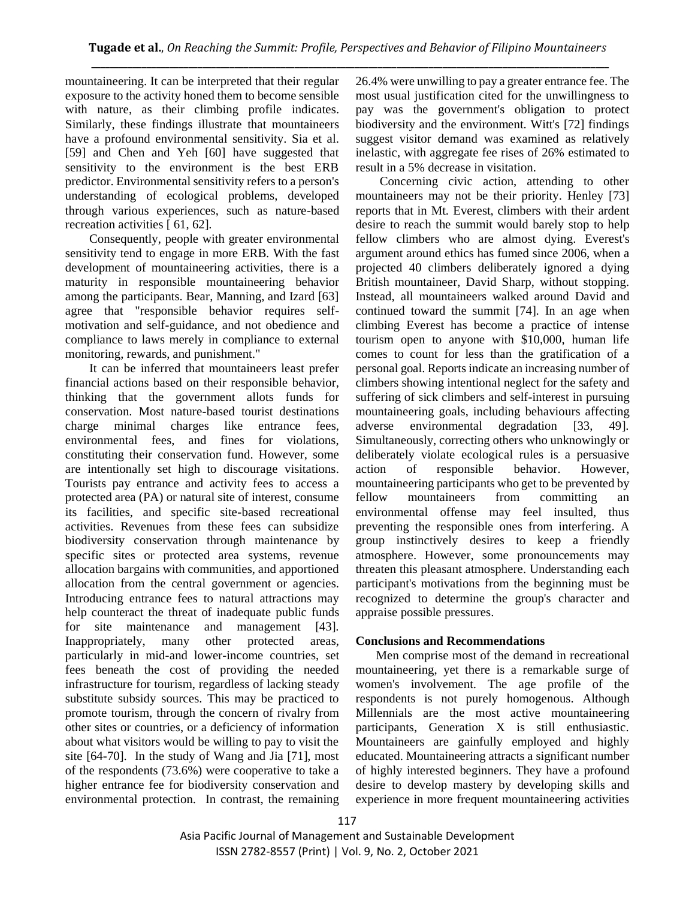mountaineering. It can be interpreted that their regular exposure to the activity honed them to become sensible with nature, as their climbing profile indicates. Similarly, these findings illustrate that mountaineers have a profound environmental sensitivity. Sia et al. [59] and Chen and Yeh [60] have suggested that sensitivity to the environment is the best ERB predictor. Environmental sensitivity refers to a person's understanding of ecological problems, developed through various experiences, such as nature-based recreation activities [ 61, 62].

Consequently, people with greater environmental sensitivity tend to engage in more ERB. With the fast development of mountaineering activities, there is a maturity in responsible mountaineering behavior among the participants. Bear, Manning, and Izard [63] agree that "responsible behavior requires selfmotivation and self-guidance, and not obedience and compliance to laws merely in compliance to external monitoring, rewards, and punishment."

It can be inferred that mountaineers least prefer financial actions based on their responsible behavior, thinking that the government allots funds for conservation. Most nature-based tourist destinations charge minimal charges like entrance fees, environmental fees, and fines for violations, constituting their conservation fund. However, some are intentionally set high to discourage visitations. Tourists pay entrance and activity fees to access a protected area (PA) or natural site of interest, consume its facilities, and specific site-based recreational activities. Revenues from these fees can subsidize biodiversity conservation through maintenance by specific sites or protected area systems, revenue allocation bargains with communities, and apportioned allocation from the central government or agencies. Introducing entrance fees to natural attractions may help counteract the threat of inadequate public funds for site maintenance and management [43]. Inappropriately, many other protected areas, particularly in mid-and lower-income countries, set fees beneath the cost of providing the needed infrastructure for tourism, regardless of lacking steady substitute subsidy sources. This may be practiced to promote tourism, through the concern of rivalry from other sites or countries, or a deficiency of information about what visitors would be willing to pay to visit the site [64-70]. In the study of Wang and Jia [71], most of the respondents (73.6%) were cooperative to take a higher entrance fee for biodiversity conservation and environmental protection. In contrast, the remaining

26.4% were unwilling to pay a greater entrance fee. The most usual justification cited for the unwillingness to pay was the government's obligation to protect biodiversity and the environment. Witt's [72] findings suggest visitor demand was examined as relatively inelastic, with aggregate fee rises of 26% estimated to result in a 5% decrease in visitation.

Concerning civic action, attending to other mountaineers may not be their priority. Henley [73] reports that in Mt. Everest, climbers with their ardent desire to reach the summit would barely stop to help fellow climbers who are almost dying. Everest's argument around ethics has fumed since 2006, when a projected 40 climbers deliberately ignored a dying British mountaineer, David Sharp, without stopping. Instead, all mountaineers walked around David and continued toward the summit [74]. In an age when climbing Everest has become a practice of intense tourism open to anyone with \$10,000, human life comes to count for less than the gratification of a personal goal. Reports indicate an increasing number of climbers showing intentional neglect for the safety and suffering of sick climbers and self-interest in pursuing mountaineering goals, including behaviours affecting adverse environmental degradation [33, 49]. Simultaneously, correcting others who unknowingly or deliberately violate ecological rules is a persuasive action of responsible behavior. However, mountaineering participants who get to be prevented by fellow mountaineers from committing an environmental offense may feel insulted, thus preventing the responsible ones from interfering. A group instinctively desires to keep a friendly atmosphere. However, some pronouncements may threaten this pleasant atmosphere. Understanding each participant's motivations from the beginning must be recognized to determine the group's character and appraise possible pressures.

# **Conclusions and Recommendations**

Men comprise most of the demand in recreational mountaineering, yet there is a remarkable surge of women's involvement. The age profile of the respondents is not purely homogenous. Although Millennials are the most active mountaineering participants, Generation X is still enthusiastic. Mountaineers are gainfully employed and highly educated. Mountaineering attracts a significant number of highly interested beginners. They have a profound desire to develop mastery by developing skills and experience in more frequent mountaineering activities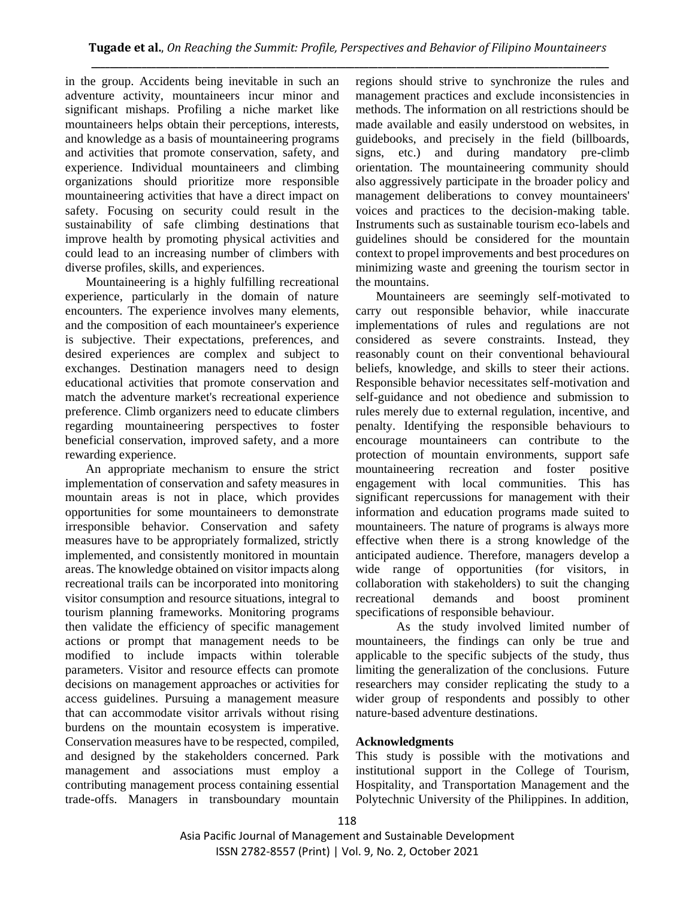in the group. Accidents being inevitable in such an adventure activity, mountaineers incur minor and significant mishaps. Profiling a niche market like mountaineers helps obtain their perceptions, interests, and knowledge as a basis of mountaineering programs and activities that promote conservation, safety, and experience. Individual mountaineers and climbing organizations should prioritize more responsible mountaineering activities that have a direct impact on safety. Focusing on security could result in the sustainability of safe climbing destinations that improve health by promoting physical activities and could lead to an increasing number of climbers with diverse profiles, skills, and experiences.

Mountaineering is a highly fulfilling recreational experience, particularly in the domain of nature encounters. The experience involves many elements, and the composition of each mountaineer's experience is subjective. Their expectations, preferences, and desired experiences are complex and subject to exchanges. Destination managers need to design educational activities that promote conservation and match the adventure market's recreational experience preference. Climb organizers need to educate climbers regarding mountaineering perspectives to foster beneficial conservation, improved safety, and a more rewarding experience.

An appropriate mechanism to ensure the strict implementation of conservation and safety measures in mountain areas is not in place, which provides opportunities for some mountaineers to demonstrate irresponsible behavior. Conservation and safety measures have to be appropriately formalized, strictly implemented, and consistently monitored in mountain areas. The knowledge obtained on visitor impacts along recreational trails can be incorporated into monitoring visitor consumption and resource situations, integral to tourism planning frameworks. Monitoring programs then validate the efficiency of specific management actions or prompt that management needs to be modified to include impacts within tolerable parameters. Visitor and resource effects can promote decisions on management approaches or activities for access guidelines. Pursuing a management measure that can accommodate visitor arrivals without rising burdens on the mountain ecosystem is imperative. Conservation measures have to be respected, compiled, and designed by the stakeholders concerned. Park management and associations must employ a contributing management process containing essential trade-offs. Managers in transboundary mountain regions should strive to synchronize the rules and management practices and exclude inconsistencies in methods. The information on all restrictions should be made available and easily understood on websites, in guidebooks, and precisely in the field (billboards, signs, etc.) and during mandatory pre-climb orientation. The mountaineering community should also aggressively participate in the broader policy and management deliberations to convey mountaineers' voices and practices to the decision-making table. Instruments such as sustainable tourism eco-labels and guidelines should be considered for the mountain context to propel improvements and best procedures on minimizing waste and greening the tourism sector in the mountains.

Mountaineers are seemingly self-motivated to carry out responsible behavior, while inaccurate implementations of rules and regulations are not considered as severe constraints. Instead, they reasonably count on their conventional behavioural beliefs, knowledge, and skills to steer their actions. Responsible behavior necessitates self-motivation and self-guidance and not obedience and submission to rules merely due to external regulation, incentive, and penalty. Identifying the responsible behaviours to encourage mountaineers can contribute to the protection of mountain environments, support safe mountaineering recreation and foster positive engagement with local communities. This has significant repercussions for management with their information and education programs made suited to mountaineers. The nature of programs is always more effective when there is a strong knowledge of the anticipated audience. Therefore, managers develop a wide range of opportunities (for visitors, in collaboration with stakeholders) to suit the changing recreational demands and boost prominent specifications of responsible behaviour.

As the study involved limited number of mountaineers, the findings can only be true and applicable to the specific subjects of the study, thus limiting the generalization of the conclusions. Future researchers may consider replicating the study to a wider group of respondents and possibly to other nature-based adventure destinations.

# **Acknowledgments**

This study is possible with the motivations and institutional support in the College of Tourism, Hospitality, and Transportation Management and the Polytechnic University of the Philippines. In addition,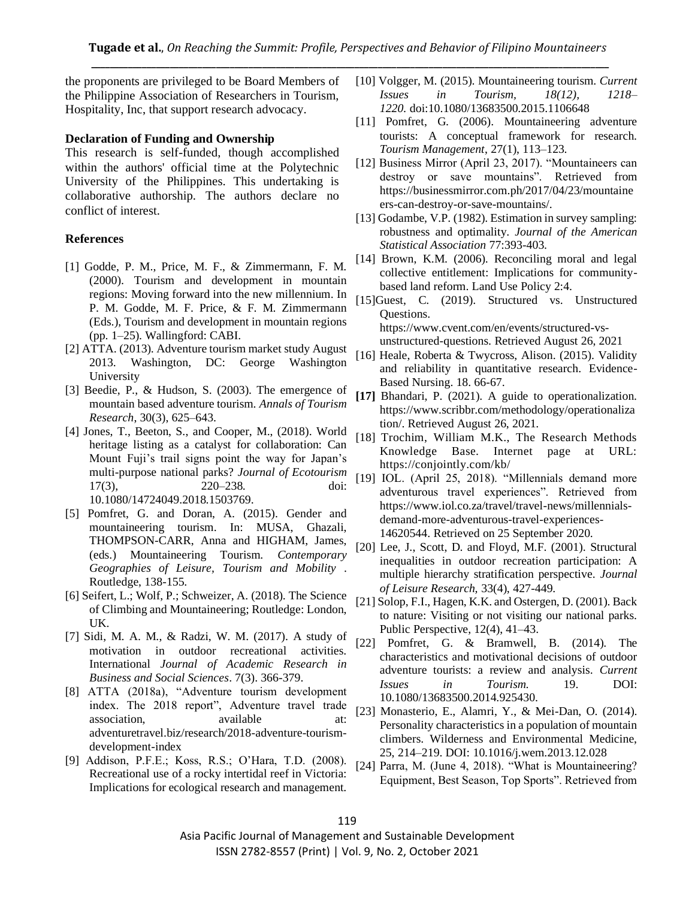the proponents are privileged to be Board Members of the Philippine Association of Researchers in Tourism, Hospitality, Inc, that support research advocacy.

#### **Declaration of Funding and Ownership**

This research is self-funded, though accomplished within the authors' official time at the Polytechnic University of the Philippines. This undertaking is collaborative authorship. The authors declare no conflict of interest.

#### **References**

- [1] Godde, P. M., Price, M. F., & Zimmermann, F. M. (2000). Tourism and development in mountain regions: Moving forward into the new millennium. In P. M. Godde, M. F. Price, & F. M. Zimmermann (Eds.), Tourism and development in mountain regions (pp. 1–25). Wallingford: CABI.
- [2] ATTA. (2013). Adventure tourism market study August 2013. Washington, DC: George Washington University
- [3] Beedie, P., & Hudson, S. (2003). The emergence of mountain based adventure tourism. *Annals of Tourism Research*, 30(3), 625–643.
- [4] Jones, T., Beeton, S., and Cooper, M., (2018). World heritage listing as a catalyst for collaboration: Can Mount Fuji's trail signs point the way for Japan's multi-purpose national parks? *Journal of Ecotourism* 17(3), 220–238. doi: 10.1080/14724049.2018.1503769.
- [5] Pomfret, G. and Doran, A. (2015). Gender and mountaineering tourism. In: MUSA, Ghazali, THOMPSON-CARR, Anna and HIGHAM, James, (eds.) Mountaineering Tourism. *Contemporary Geographies of Leisure, Tourism and Mobility* . Routledge, 138-155.
- [6] Seifert, L.; Wolf, P.; Schweizer, A. (2018). The Science of Climbing and Mountaineering; Routledge: London, UK.
- [7] Sidi, M. A. M., & Radzi, W. M. (2017). A study of motivation in outdoor recreational activities. International *Journal of Academic Research in Business and Social Sciences*. 7(3). 366-379.
- [8] ATTA (2018a), "Adventure tourism development index. The 2018 report", Adventure travel trade association, available at: adventuretravel.biz/research/2018-adventure-tourismdevelopment-index
- [9] Addison, P.F.E.; Koss, R.S.; O'Hara, T.D. (2008). Recreational use of a rocky intertidal reef in Victoria: Implications for ecological research and management.
- [10] Volgger, M. (2015). Mountaineering tourism*. Current Issues in Tourism, 18(12), 1218– 1220.* doi:10.1080/13683500.2015.1106648
- [11] Pomfret, G. (2006). Mountaineering adventure tourists: A conceptual framework for research. *Tourism Management*, 27(1), 113–123.
- [12] Business Mirror (April 23, 2017). "Mountaineers can destroy or save mountains". Retrieved from https://businessmirror.com.ph/2017/04/23/mountaine ers-can-destroy-or-save-mountains/.
- [13] Godambe, V.P. (1982). Estimation in survey sampling: robustness and optimality. *Journal of the American Statistical Association* 77:393-403.
- [14] Brown, K.M. (2006). Reconciling moral and legal collective entitlement: Implications for communitybased land reform. Land Use Policy 2:4.
- [15]Guest, C. (2019). Structured vs. Unstructured Questions. https://www.cvent.com/en/events/structured-vsunstructured-questions. Retrieved August 26, 2021
- [16] Heale, Roberta & Twycross, Alison. (2015). Validity and reliability in quantitative research. Evidence-Based Nursing. 18. 66-67.
- **[17]** Bhandari, P. (2021). A guide to operationalization. https://www.scribbr.com/methodology/operationaliza tion/. Retrieved August 26, 2021.
- [18] Trochim, William M.K., The Research Methods Knowledge Base. Internet page at URL: https://conjointly.com/kb/
- [19] IOL. (April 25, 2018). "Millennials demand more adventurous travel experiences". Retrieved from https://www.iol.co.za/travel/travel-news/millennialsdemand-more-adventurous-travel-experiences-14620544. Retrieved on 25 September 2020.
- [20] Lee, J., Scott, D. and Floyd, M.F. (2001). Structural inequalities in outdoor recreation participation: A multiple hierarchy stratification perspective. *Journal of Leisure Research,* 33(4), 427-449.
- [21] Solop, F.I., Hagen, K.K. and Ostergen, D. (2001). Back to nature: Visiting or not visiting our national parks. Public Perspective, 12(4), 41–43.
- [22] Pomfret, G. & Bramwell, B. (2014). The characteristics and motivational decisions of outdoor adventure tourists: a review and analysis*. Current Issues in Tourism.* 19. DOI: 10.1080/13683500.2014.925430.
- [23] Monasterio, E., Alamri, Y., & Mei-Dan, O. (2014). Personality characteristics in a population of mountain climbers. Wilderness and Environmental Medicine, 25, 214–219. DOI: 10.1016/j.wem.2013.12.028
- [24] Parra, M. (June 4, 2018). "What is Mountaineering? Equipment, Best Season, Top Sports". Retrieved from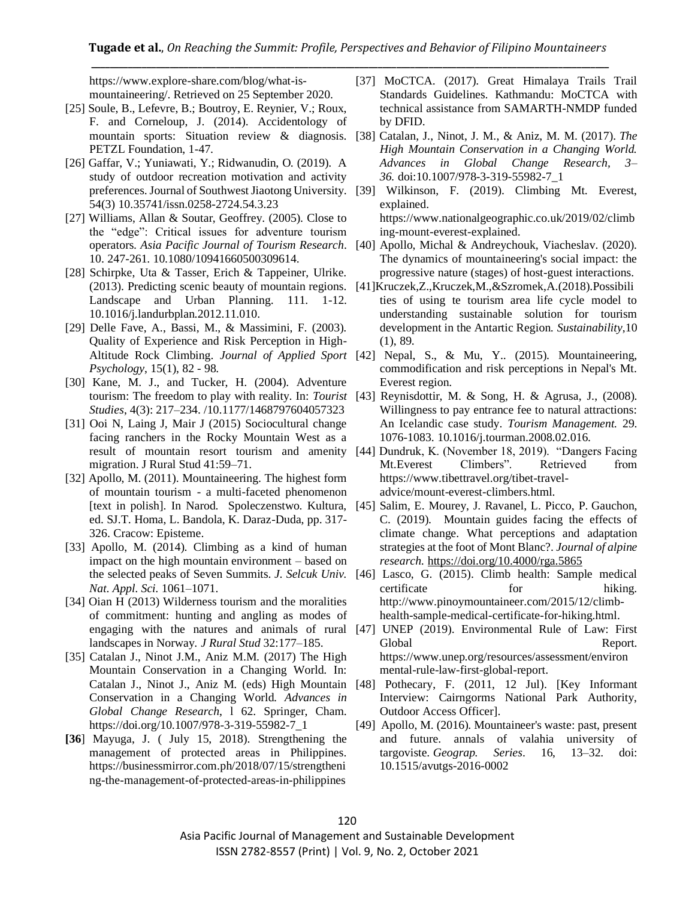https://www.explore-share.com/blog/what-ismountaineering/. Retrieved on 25 September 2020.

- [25] Soule, B., Lefevre, B.; Boutroy, E. Reynier, V.; Roux, F. and Corneloup, J. (2014). Accidentology of PETZL Foundation, 1-47.
- [26] Gaffar, V.; Yuniawati, Y.; Ridwanudin, O. (2019). A study of outdoor recreation motivation and activity 54(3) 10.35741/issn.0258-2724.54.3.23
- [27] Williams, Allan & Soutar, Geoffrey. (2005). Close to the "edge": Critical issues for adventure tourism 10. 247-261. 10.1080/10941660500309614.
- [28] Schirpke, Uta & Tasser, Erich & Tappeiner, Ulrike. Landscape and Urban Planning. 111. 1-12. 10.1016/j.landurbplan.2012.11.010.
- [29] Delle Fave, A., Bassi, M., & Massimini, F. (2003). Quality of Experience and Risk Perception in High-*Psychology*, 15(1), 82 - 98.
- [30] Kane, M. J., and Tucker, H. (2004). Adventure *Studies*, 4(3): 217–234. /10.1177/1468797604057323
- [31] Ooi N, Laing J, Mair J (2015) Sociocultural change facing ranchers in the Rocky Mountain West as a migration. J Rural Stud 41:59–71.
- [32] Apollo, M. (2011). Mountaineering. The highest form of mountain tourism - a multi-faceted phenomenon ed. SJ.T. Homa, L. Bandola, K. Daraz-Duda, pp. 317- 326. Cracow: Episteme.
- [33] Apollo, M. (2014). Climbing as a kind of human impact on the high mountain environment – based on *Nat. Appl. Sci.* 1061–1071.
- [34] Oian H (2013) Wilderness tourism and the moralities of commitment: hunting and angling as modes of landscapes in Norway*. J Rural Stud* 32:177–185.
- [35] Catalan J., Ninot J.M., Aniz M.M. (2017) The High Mountain Conservation in a Changing World. In: Conservation in a Changing World. *Advances in Global Change Research*, l 62. Springer, Cham. https://doi.org/10.1007/978-3-319-55982-7\_1
- **[36**] Mayuga, J. ( July 15, 2018). Strengthening the management of protected areas in Philippines. https://businessmirror.com.ph/2018/07/15/strengtheni ng-the-management-of-protected-areas-in-philippines
- [37] MoCTCA. (2017). Great Himalaya Trails Trail Standards Guidelines. Kathmandu: MoCTCA with technical assistance from SAMARTH-NMDP funded by DFID.
- mountain sports: Situation review & diagnosis. [38] Catalan, J., Ninot, J. M., & Aniz, M. M. (2017). *The High Mountain Conservation in a Changing World. Advances in Global Change Research, 3– 36.* doi:10.1007/978-3-319-55982-7\_1
- preferences. Journal of Southwest Jiaotong University. [39] Wilkinson, F. (2019). Climbing Mt. Everest, explained. https://www.nationalgeographic.co.uk/2019/02/climb ing-mount-everest-explained.
- operators*. Asia Pacific Journal of Tourism Research*. [40] Apollo, Michal & Andreychouk, Viacheslav. (2020). The dynamics of mountaineering's social impact: the progressive nature (stages) of host-guest interactions.
- (2013). Predicting scenic beauty of mountain regions. [41]Kruczek,Z.,Kruczek,M.,&Szromek,A.(2018).Possibili ties of using te tourism area life cycle model to understanding sustainable solution for tourism development in the Antartic Region. *Sustainability*,10 (1), 89.
- Altitude Rock Climbing. *Journal of Applied Sport*  [42] Nepal, S., & Mu, Y.. (2015). Mountaineering, commodification and risk perceptions in Nepal's Mt. Everest region.
- tourism: The freedom to play with reality. In: *Tourist*  [43] Reynisdottir, M. & Song, H. & Agrusa, J., (2008). Willingness to pay entrance fee to natural attractions: An Icelandic case study. *Tourism Management.* 29. 1076-1083. 10.1016/j.tourman.2008.02.016.
- result of mountain resort tourism and amenity [44] Dundruk, K. (November 18, 2019). "Dangers Facing Mt.Everest Climbers". Retrieved from https://www.tibettravel.org/tibet-traveladvice/mount-everest-climbers.html.
- [text in polish]. In Narod. Spoleczenstwo. Kultura, [45] Salim, E. Mourey, J. Ravanel, L. Picco, P. Gauchon, C. (2019). Mountain guides facing the effects of climate change. What perceptions and adaptation strategies at the foot of Mont Blanc?. *Journal of alpine research.* <https://doi.org/10.4000/rga.5865>
- the selected peaks of Seven Summits. *J. Selcuk Univ.*  [46] Lasco, G. (2015). Climb health: Sample medical certificate for hiking. http://www.pinoymountaineer.com/2015/12/climbhealth-sample-medical-certificate-for-hiking.html.
- engaging with the natures and animals of rural [47] UNEP (2019). Environmental Rule of Law: First Global Report. https://www.unep.org/resources/assessment/environ mental-rule-law-first-global-report.
- Catalan J., Ninot J., Aniz M. (eds) High Mountain [48] Pothecary, F. (2011, 12 Jul). [Key Informant Interview: Cairngorms National Park Authority, Outdoor Access Officer].
	- [49] Apollo, M. (2016). Mountaineer's waste: past, present and future. annals of valahia university of targoviste. *Geograp. Series*. 16, 13–32. doi: 10.1515/avutgs-2016-0002